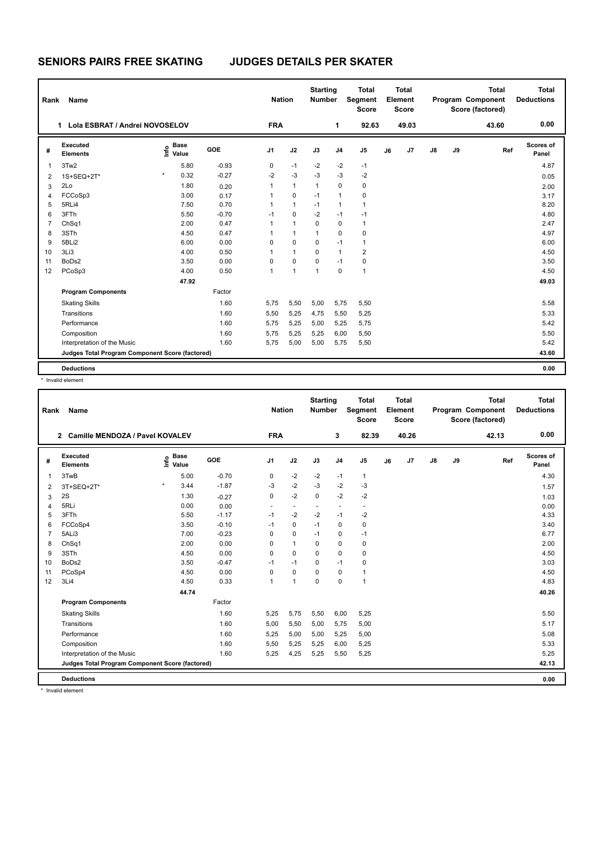## **SENIORS PAIRS FREE SKATING JUDGES DETAILS PER SKATER**

| Rank           | Name                                            |         |                                  |         | <b>Nation</b>  |              | <b>Starting</b><br><b>Number</b> |                | <b>Total</b><br>Segment<br><b>Score</b> |    | Total<br>Element<br><b>Score</b> |               |    | <b>Total</b><br>Program Component<br>Score (factored) | Total<br><b>Deductions</b> |
|----------------|-------------------------------------------------|---------|----------------------------------|---------|----------------|--------------|----------------------------------|----------------|-----------------------------------------|----|----------------------------------|---------------|----|-------------------------------------------------------|----------------------------|
|                | Lola ESBRAT / Andrei NOVOSELOV<br>1             |         |                                  |         | <b>FRA</b>     |              |                                  | 1              | 92.63                                   |    | 49.03                            |               |    | 43.60                                                 | 0.00                       |
| #              | Executed<br><b>Elements</b>                     |         | <b>Base</b><br>e Base<br>⊆ Value | GOE     | J <sub>1</sub> | J2           | J3                               | J <sub>4</sub> | J <sub>5</sub>                          | J6 | J7                               | $\mathsf{J}8$ | J9 | Ref                                                   | Scores of<br>Panel         |
| $\mathbf{1}$   | 3Tw2                                            |         | 5.80                             | $-0.93$ | 0              | $-1$         | $-2$                             | $-2$           | $-1$                                    |    |                                  |               |    |                                                       | 4.87                       |
| $\overline{2}$ | 1S+SEQ+2T*                                      | $\star$ | 0.32                             | $-0.27$ | $-2$           | $-3$         | $-3$                             | $-3$           | $-2$                                    |    |                                  |               |    |                                                       | 0.05                       |
| 3              | 2Lo                                             |         | 1.80                             | 0.20    |                | $\mathbf{1}$ | $\mathbf{1}$                     | 0              | 0                                       |    |                                  |               |    |                                                       | 2.00                       |
| 4              | FCCoSp3                                         |         | 3.00                             | 0.17    | 1              | 0            | $-1$                             | $\overline{1}$ | 0                                       |    |                                  |               |    |                                                       | 3.17                       |
| 5              | 5RLi4                                           |         | 7.50                             | 0.70    | 1              | $\mathbf{1}$ | $-1$                             | $\overline{1}$ | $\mathbf{1}$                            |    |                                  |               |    |                                                       | 8.20                       |
| 6              | 3FTh                                            |         | 5.50                             | $-0.70$ | $-1$           | 0            | $-2$                             | $-1$           | $-1$                                    |    |                                  |               |    |                                                       | 4.80                       |
| $\overline{7}$ | ChSq1                                           |         | 2.00                             | 0.47    | $\overline{1}$ | $\mathbf{1}$ | $\Omega$                         | $\mathbf 0$    | $\mathbf{1}$                            |    |                                  |               |    |                                                       | 2.47                       |
| 8              | 3STh                                            |         | 4.50                             | 0.47    | 1              | $\mathbf{1}$ | 1                                | 0              | 0                                       |    |                                  |               |    |                                                       | 4.97                       |
| 9              | 5BLi2                                           |         | 6.00                             | 0.00    | 0              | 0            | $\Omega$                         | $-1$           | $\mathbf{1}$                            |    |                                  |               |    |                                                       | 6.00                       |
| 10             | 3Li3                                            |         | 4.00                             | 0.50    | 1              | $\mathbf{1}$ | 0                                | $\overline{1}$ | $\overline{2}$                          |    |                                  |               |    |                                                       | 4.50                       |
| 11             | BoDs2                                           |         | 3.50                             | 0.00    | 0              | $\mathbf 0$  | 0                                | $-1$           | 0                                       |    |                                  |               |    |                                                       | 3.50                       |
| 12             | PCoSp3                                          |         | 4.00                             | 0.50    | 1              | $\mathbf{1}$ | 1                                | $\Omega$       | $\mathbf{1}$                            |    |                                  |               |    |                                                       | 4.50                       |
|                |                                                 |         | 47.92                            |         |                |              |                                  |                |                                         |    |                                  |               |    |                                                       | 49.03                      |
|                | <b>Program Components</b>                       |         |                                  | Factor  |                |              |                                  |                |                                         |    |                                  |               |    |                                                       |                            |
|                | <b>Skating Skills</b>                           |         |                                  | 1.60    | 5.75           | 5,50         | 5,00                             | 5.75           | 5,50                                    |    |                                  |               |    |                                                       | 5.58                       |
|                | Transitions                                     |         |                                  | 1.60    | 5,50           | 5,25         | 4,75                             | 5,50           | 5,25                                    |    |                                  |               |    |                                                       | 5.33                       |
|                | Performance                                     |         |                                  | 1.60    | 5,75           | 5,25         | 5,00                             | 5,25           | 5,75                                    |    |                                  |               |    |                                                       | 5.42                       |
|                | Composition                                     |         |                                  | 1.60    | 5.75           | 5,25         | 5,25                             | 6,00           | 5,50                                    |    |                                  |               |    |                                                       | 5.50                       |
|                | Interpretation of the Music                     |         |                                  | 1.60    | 5,75           | 5,00         | 5,00                             | 5,75           | 5,50                                    |    |                                  |               |    |                                                       | 5.42                       |
|                | Judges Total Program Component Score (factored) |         |                                  |         |                |              |                                  |                |                                         |    |                                  |               |    |                                                       | 43.60                      |
|                | <b>Deductions</b>                               |         |                                  |         |                |              |                                  |                |                                         |    |                                  |               |    |                                                       | 0.00                       |

\* Invalid element

| 2 Camille MENDOZA / Pavel KOVALEV<br><b>FRA</b><br>3<br>82.39<br>40.26<br>42.13<br>Executed<br><b>Base</b><br>e Base<br>E Value<br>GOE<br>J1<br>J2<br>J3<br>J <sub>5</sub><br>J9<br>J <sub>4</sub><br>J <sub>7</sub><br>J8<br>Ref<br>#<br>J6<br><b>Elements</b><br>Panel<br>$-0.70$<br>3TwB<br>5.00<br>$-2$<br>$-2$<br>$-1$<br>0<br>$\mathbf{1}$<br>$\mathbf{1}$<br>$-2$<br>$-3$<br>$\star$<br>$-2$<br>$-3$<br>$-1.87$<br>-3<br>3.44<br>3T+SEQ+2T*<br>2<br>2S<br>$-2$<br>$-2$<br>$-2$<br>1.30<br>0<br>0<br>3<br>$-0.27$<br>5RLi<br>0.00<br>0.00<br>$\overline{4}$<br>$\ddot{\phantom{1}}$<br>$\overline{a}$<br>٠<br>$\overline{\phantom{a}}$<br>$-2$<br>$-1.17$<br>$-2$<br>$-1$<br>$-2$<br>3FTh<br>5<br>5.50<br>$-1$<br>FCCoSp4<br>$-0.10$<br>$\mathbf 0$<br>$-1$<br>$\mathbf 0$<br>0<br>6<br>3.50<br>$-1$<br>5ALi3<br>$-0.23$<br>$\Omega$<br>$\overline{7}$<br>7.00<br>$\Omega$<br>$-1$<br>$\Omega$<br>$-1$<br>2.00<br>0.00<br>$\Omega$<br>0<br>Ch <sub>Sq1</sub><br>0<br>1<br>$\Omega$<br>8<br>3STh<br>0.00<br>$\mathbf 0$<br>0<br>$\mathbf 0$<br>0<br>9<br>4.50<br>0<br>$-1$<br>BoDs2<br>$-0.47$<br>$-1$<br>0<br>3.50<br>$-1$<br>$\Omega$<br>10<br>PCoSp4<br>4.50<br>0.00<br>$\Omega$<br>$\Omega$<br>$\Omega$<br>$\Omega$<br>1<br>11<br>0.33<br>$\Omega$<br>$\mathbf 0$<br>12<br>3Li4<br>4.50<br>$\mathbf{1}$<br>$\mathbf{1}$<br>$\mathbf{1}$<br>44.74<br><b>Program Components</b><br>Factor<br>1.60<br><b>Skating Skills</b><br>5.25<br>5.75<br>5,50<br>6,00<br>5,25<br>Transitions<br>1.60<br>5.00<br>5.50<br>5.75<br>5,00<br>5,00<br>Performance<br>1.60<br>5,25<br>5,00<br>5,25<br>5,00<br>5.00<br>Composition<br>1.60<br>5,25<br>5,50<br>5,25<br>5,25<br>6,00<br>1.60<br>Interpretation of the Music<br>5,25<br>4,25<br>5,25<br>5,50<br>5,25<br>Judges Total Program Component Score (factored) | Rank | Name |  | <b>Nation</b> | <b>Starting</b><br>Number | <b>Total</b><br>Segment<br><b>Score</b> | <b>Total</b><br>Element<br><b>Score</b> |  | <b>Total</b><br>Program Component<br>Score (factored) | <b>Total</b><br><b>Deductions</b> |
|----------------------------------------------------------------------------------------------------------------------------------------------------------------------------------------------------------------------------------------------------------------------------------------------------------------------------------------------------------------------------------------------------------------------------------------------------------------------------------------------------------------------------------------------------------------------------------------------------------------------------------------------------------------------------------------------------------------------------------------------------------------------------------------------------------------------------------------------------------------------------------------------------------------------------------------------------------------------------------------------------------------------------------------------------------------------------------------------------------------------------------------------------------------------------------------------------------------------------------------------------------------------------------------------------------------------------------------------------------------------------------------------------------------------------------------------------------------------------------------------------------------------------------------------------------------------------------------------------------------------------------------------------------------------------------------------------------------------------------------------------------------------------------------------------------|------|------|--|---------------|---------------------------|-----------------------------------------|-----------------------------------------|--|-------------------------------------------------------|-----------------------------------|
|                                                                                                                                                                                                                                                                                                                                                                                                                                                                                                                                                                                                                                                                                                                                                                                                                                                                                                                                                                                                                                                                                                                                                                                                                                                                                                                                                                                                                                                                                                                                                                                                                                                                                                                                                                                                          |      |      |  |               |                           |                                         |                                         |  |                                                       | 0.00                              |
|                                                                                                                                                                                                                                                                                                                                                                                                                                                                                                                                                                                                                                                                                                                                                                                                                                                                                                                                                                                                                                                                                                                                                                                                                                                                                                                                                                                                                                                                                                                                                                                                                                                                                                                                                                                                          |      |      |  |               |                           |                                         |                                         |  |                                                       | Scores of                         |
|                                                                                                                                                                                                                                                                                                                                                                                                                                                                                                                                                                                                                                                                                                                                                                                                                                                                                                                                                                                                                                                                                                                                                                                                                                                                                                                                                                                                                                                                                                                                                                                                                                                                                                                                                                                                          |      |      |  |               |                           |                                         |                                         |  |                                                       | 4.30                              |
|                                                                                                                                                                                                                                                                                                                                                                                                                                                                                                                                                                                                                                                                                                                                                                                                                                                                                                                                                                                                                                                                                                                                                                                                                                                                                                                                                                                                                                                                                                                                                                                                                                                                                                                                                                                                          |      |      |  |               |                           |                                         |                                         |  |                                                       | 1.57                              |
|                                                                                                                                                                                                                                                                                                                                                                                                                                                                                                                                                                                                                                                                                                                                                                                                                                                                                                                                                                                                                                                                                                                                                                                                                                                                                                                                                                                                                                                                                                                                                                                                                                                                                                                                                                                                          |      |      |  |               |                           |                                         |                                         |  |                                                       | 1.03                              |
|                                                                                                                                                                                                                                                                                                                                                                                                                                                                                                                                                                                                                                                                                                                                                                                                                                                                                                                                                                                                                                                                                                                                                                                                                                                                                                                                                                                                                                                                                                                                                                                                                                                                                                                                                                                                          |      |      |  |               |                           |                                         |                                         |  |                                                       | 0.00                              |
|                                                                                                                                                                                                                                                                                                                                                                                                                                                                                                                                                                                                                                                                                                                                                                                                                                                                                                                                                                                                                                                                                                                                                                                                                                                                                                                                                                                                                                                                                                                                                                                                                                                                                                                                                                                                          |      |      |  |               |                           |                                         |                                         |  |                                                       | 4.33                              |
|                                                                                                                                                                                                                                                                                                                                                                                                                                                                                                                                                                                                                                                                                                                                                                                                                                                                                                                                                                                                                                                                                                                                                                                                                                                                                                                                                                                                                                                                                                                                                                                                                                                                                                                                                                                                          |      |      |  |               |                           |                                         |                                         |  |                                                       | 3.40                              |
|                                                                                                                                                                                                                                                                                                                                                                                                                                                                                                                                                                                                                                                                                                                                                                                                                                                                                                                                                                                                                                                                                                                                                                                                                                                                                                                                                                                                                                                                                                                                                                                                                                                                                                                                                                                                          |      |      |  |               |                           |                                         |                                         |  |                                                       | 6.77                              |
|                                                                                                                                                                                                                                                                                                                                                                                                                                                                                                                                                                                                                                                                                                                                                                                                                                                                                                                                                                                                                                                                                                                                                                                                                                                                                                                                                                                                                                                                                                                                                                                                                                                                                                                                                                                                          |      |      |  |               |                           |                                         |                                         |  |                                                       | 2.00                              |
|                                                                                                                                                                                                                                                                                                                                                                                                                                                                                                                                                                                                                                                                                                                                                                                                                                                                                                                                                                                                                                                                                                                                                                                                                                                                                                                                                                                                                                                                                                                                                                                                                                                                                                                                                                                                          |      |      |  |               |                           |                                         |                                         |  |                                                       | 4.50                              |
|                                                                                                                                                                                                                                                                                                                                                                                                                                                                                                                                                                                                                                                                                                                                                                                                                                                                                                                                                                                                                                                                                                                                                                                                                                                                                                                                                                                                                                                                                                                                                                                                                                                                                                                                                                                                          |      |      |  |               |                           |                                         |                                         |  |                                                       | 3.03                              |
|                                                                                                                                                                                                                                                                                                                                                                                                                                                                                                                                                                                                                                                                                                                                                                                                                                                                                                                                                                                                                                                                                                                                                                                                                                                                                                                                                                                                                                                                                                                                                                                                                                                                                                                                                                                                          |      |      |  |               |                           |                                         |                                         |  |                                                       | 4.50                              |
|                                                                                                                                                                                                                                                                                                                                                                                                                                                                                                                                                                                                                                                                                                                                                                                                                                                                                                                                                                                                                                                                                                                                                                                                                                                                                                                                                                                                                                                                                                                                                                                                                                                                                                                                                                                                          |      |      |  |               |                           |                                         |                                         |  |                                                       | 4.83                              |
|                                                                                                                                                                                                                                                                                                                                                                                                                                                                                                                                                                                                                                                                                                                                                                                                                                                                                                                                                                                                                                                                                                                                                                                                                                                                                                                                                                                                                                                                                                                                                                                                                                                                                                                                                                                                          |      |      |  |               |                           |                                         |                                         |  |                                                       | 40.26                             |
|                                                                                                                                                                                                                                                                                                                                                                                                                                                                                                                                                                                                                                                                                                                                                                                                                                                                                                                                                                                                                                                                                                                                                                                                                                                                                                                                                                                                                                                                                                                                                                                                                                                                                                                                                                                                          |      |      |  |               |                           |                                         |                                         |  |                                                       |                                   |
|                                                                                                                                                                                                                                                                                                                                                                                                                                                                                                                                                                                                                                                                                                                                                                                                                                                                                                                                                                                                                                                                                                                                                                                                                                                                                                                                                                                                                                                                                                                                                                                                                                                                                                                                                                                                          |      |      |  |               |                           |                                         |                                         |  |                                                       | 5.50                              |
|                                                                                                                                                                                                                                                                                                                                                                                                                                                                                                                                                                                                                                                                                                                                                                                                                                                                                                                                                                                                                                                                                                                                                                                                                                                                                                                                                                                                                                                                                                                                                                                                                                                                                                                                                                                                          |      |      |  |               |                           |                                         |                                         |  |                                                       | 5.17                              |
|                                                                                                                                                                                                                                                                                                                                                                                                                                                                                                                                                                                                                                                                                                                                                                                                                                                                                                                                                                                                                                                                                                                                                                                                                                                                                                                                                                                                                                                                                                                                                                                                                                                                                                                                                                                                          |      |      |  |               |                           |                                         |                                         |  |                                                       | 5.08                              |
|                                                                                                                                                                                                                                                                                                                                                                                                                                                                                                                                                                                                                                                                                                                                                                                                                                                                                                                                                                                                                                                                                                                                                                                                                                                                                                                                                                                                                                                                                                                                                                                                                                                                                                                                                                                                          |      |      |  |               |                           |                                         |                                         |  |                                                       | 5.33                              |
|                                                                                                                                                                                                                                                                                                                                                                                                                                                                                                                                                                                                                                                                                                                                                                                                                                                                                                                                                                                                                                                                                                                                                                                                                                                                                                                                                                                                                                                                                                                                                                                                                                                                                                                                                                                                          |      |      |  |               |                           |                                         |                                         |  |                                                       | 5.25                              |
|                                                                                                                                                                                                                                                                                                                                                                                                                                                                                                                                                                                                                                                                                                                                                                                                                                                                                                                                                                                                                                                                                                                                                                                                                                                                                                                                                                                                                                                                                                                                                                                                                                                                                                                                                                                                          |      |      |  |               |                           |                                         |                                         |  |                                                       | 42.13                             |
| <b>Deductions</b>                                                                                                                                                                                                                                                                                                                                                                                                                                                                                                                                                                                                                                                                                                                                                                                                                                                                                                                                                                                                                                                                                                                                                                                                                                                                                                                                                                                                                                                                                                                                                                                                                                                                                                                                                                                        |      |      |  |               |                           |                                         |                                         |  |                                                       | 0.00                              |

\* Invalid element